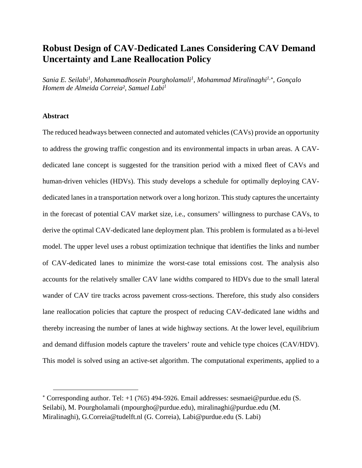## **Robust Design of CAV-Dedicated Lanes Considering CAV Demand Uncertainty and Lane Reallocation Policy**

*Sania E. Seilabi<sup>1</sup> , Mohammadhosein Pourgholamali<sup>1</sup> , Mohammad Miralinaghi1,*[∗](#page-0-0)*, Gonçalo Homem de Almeida Correia², Samuel Labi<sup>1</sup>*

## **Abstract**

The reduced headways between connected and automated vehicles (CAVs) provide an opportunity to address the growing traffic congestion and its environmental impacts in urban areas. A CAVdedicated lane concept is suggested for the transition period with a mixed fleet of CAVs and human-driven vehicles (HDVs). This study develops a schedule for optimally deploying CAVdedicated lanes in a transportation network over a long horizon. This study captures the uncertainty in the forecast of potential CAV market size, i.e., consumers' willingness to purchase CAVs, to derive the optimal CAV-dedicated lane deployment plan. This problem is formulated as a bi-level model. The upper level uses a robust optimization technique that identifies the links and number of CAV-dedicated lanes to minimize the worst-case total emissions cost. The analysis also accounts for the relatively smaller CAV lane widths compared to HDVs due to the small lateral wander of CAV tire tracks across pavement cross-sections. Therefore, this study also considers lane reallocation policies that capture the prospect of reducing CAV-dedicated lane widths and thereby increasing the number of lanes at wide highway sections. At the lower level, equilibrium and demand diffusion models capture the travelers' route and vehicle type choices (CAV/HDV). This model is solved using an active-set algorithm. The computational experiments, applied to a

<span id="page-0-0"></span><sup>∗</sup> Corresponding author. Tel: +1 (765) 494-5926. Email addresses: [sesmaei@purdue.edu](mailto:sesmaei@purdue.edu) (S. Seilabi), M. Pourgholamali (mpourgho@purdue.edu), miralinaghi@purdue.edu (M. Miralinaghi), G.Correia@tudelft.nl (G. Correia), [Labi@purdue.edu](mailto:Labi@purdue.edu) (S. Labi)